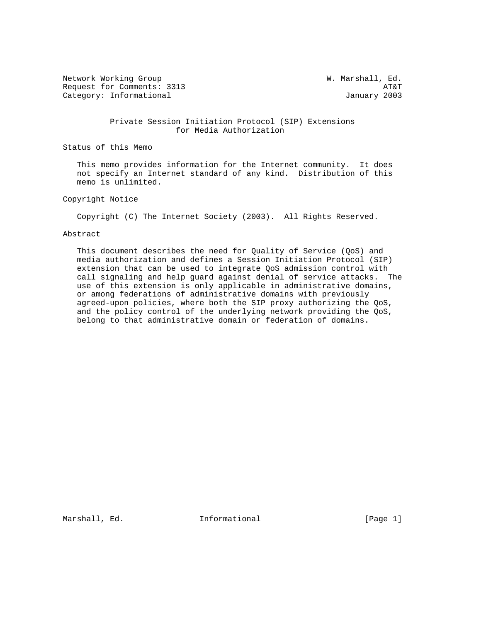Network Working Group W. Marshall, Ed. Request for Comments: 3313 AT&T Category: Informational and Category: Informational and January 2003

 Private Session Initiation Protocol (SIP) Extensions for Media Authorization

Status of this Memo

 This memo provides information for the Internet community. It does not specify an Internet standard of any kind. Distribution of this memo is unlimited.

Copyright Notice

Copyright (C) The Internet Society (2003). All Rights Reserved.

#### Abstract

 This document describes the need for Quality of Service (QoS) and media authorization and defines a Session Initiation Protocol (SIP) extension that can be used to integrate QoS admission control with call signaling and help guard against denial of service attacks. The use of this extension is only applicable in administrative domains, or among federations of administrative domains with previously agreed-upon policies, where both the SIP proxy authorizing the QoS, and the policy control of the underlying network providing the QoS, belong to that administrative domain or federation of domains.

Marshall, Ed. 1111 Informational 1999 [Page 1]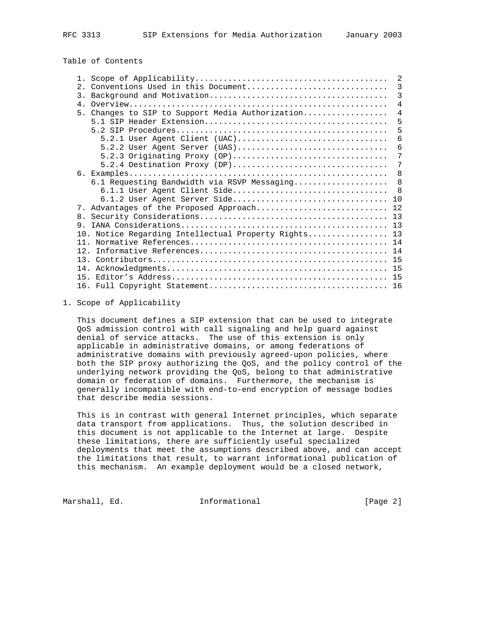Table of Contents

|                 |                                                      | 2              |
|-----------------|------------------------------------------------------|----------------|
|                 | 2. Conventions Used in this Document                 | 3              |
|                 |                                                      | 3              |
| 4 <sub>1</sub>  |                                                      | $\overline{4}$ |
| 5 <sub>1</sub>  | Changes to SIP to Support Media Authorization        | 4              |
|                 |                                                      | 5              |
|                 |                                                      | 5              |
|                 | $5.2.1$ User Agent Client (UAC)                      | 6              |
|                 | $5.2.2$ User Agent Server (UAS)                      | 6              |
|                 | 5.2.3 Originating Proxy (OP)                         | 7              |
|                 | $5.2.4$ Destination Proxy (DP)                       | 7              |
|                 |                                                      | 8              |
|                 | 6.1 Requesting Bandwidth via RSVP Messaging          | 8              |
|                 | 6.1.1 User Agent Client Side                         | 8              |
|                 | 6.1.2 User Agent Server Side                         | 10             |
|                 | 7. Advantages of the Proposed Approach               | 12             |
| 8 <sub>1</sub>  |                                                      |                |
| 9.              |                                                      |                |
|                 | 10. Notice Regarding Intellectual Property Rights 13 |                |
| 11              |                                                      |                |
| 12 <sup>2</sup> |                                                      |                |
| 13              |                                                      |                |
| 14.             |                                                      |                |
| 15              |                                                      | 15             |
|                 |                                                      | 16             |

1. Scope of Applicability

 This document defines a SIP extension that can be used to integrate QoS admission control with call signaling and help guard against denial of service attacks. The use of this extension is only applicable in administrative domains, or among federations of administrative domains with previously agreed-upon policies, where both the SIP proxy authorizing the QoS, and the policy control of the underlying network providing the QoS, belong to that administrative domain or federation of domains. Furthermore, the mechanism is generally incompatible with end-to-end encryption of message bodies that describe media sessions.

 This is in contrast with general Internet principles, which separate data transport from applications. Thus, the solution described in this document is not applicable to the Internet at large. Despite these limitations, there are sufficiently useful specialized deployments that meet the assumptions described above, and can accept the limitations that result, to warrant informational publication of this mechanism. An example deployment would be a closed network,

Marshall, Ed. **Informational Ed.** Informational **Educational** [Page 2]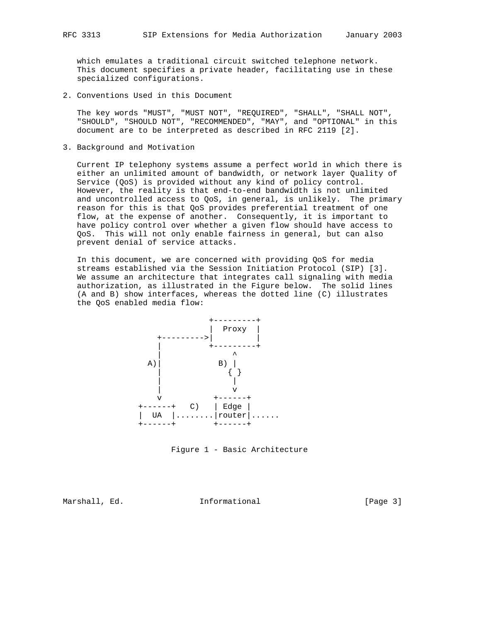which emulates a traditional circuit switched telephone network. This document specifies a private header, facilitating use in these specialized configurations.

2. Conventions Used in this Document

 The key words "MUST", "MUST NOT", "REQUIRED", "SHALL", "SHALL NOT", "SHOULD", "SHOULD NOT", "RECOMMENDED", "MAY", and "OPTIONAL" in this document are to be interpreted as described in RFC 2119 [2].

3. Background and Motivation

 Current IP telephony systems assume a perfect world in which there is either an unlimited amount of bandwidth, or network layer Quality of Service (QoS) is provided without any kind of policy control. However, the reality is that end-to-end bandwidth is not unlimited and uncontrolled access to QoS, in general, is unlikely. The primary reason for this is that QoS provides preferential treatment of one flow, at the expense of another. Consequently, it is important to have policy control over whether a given flow should have access to QoS. This will not only enable fairness in general, but can also prevent denial of service attacks.

 In this document, we are concerned with providing QoS for media streams established via the Session Initiation Protocol (SIP) [3]. We assume an architecture that integrates call signaling with media authorization, as illustrated in the Figure below. The solid lines (A and B) show interfaces, whereas the dotted line (C) illustrates the QoS enabled media flow:



Figure 1 - Basic Architecture

Marshall, Ed. 1nformational 1999 [Page 3]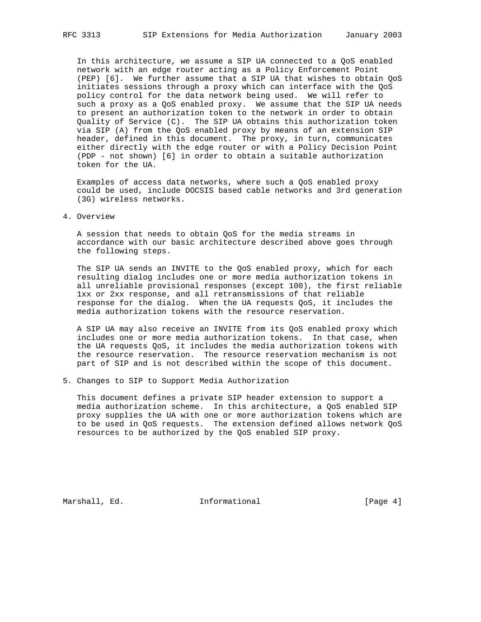In this architecture, we assume a SIP UA connected to a QoS enabled network with an edge router acting as a Policy Enforcement Point (PEP) [6]. We further assume that a SIP UA that wishes to obtain QoS initiates sessions through a proxy which can interface with the QoS policy control for the data network being used. We will refer to such a proxy as a QoS enabled proxy. We assume that the SIP UA needs to present an authorization token to the network in order to obtain Quality of Service (C). The SIP UA obtains this authorization token via SIP (A) from the QoS enabled proxy by means of an extension SIP header, defined in this document. The proxy, in turn, communicates either directly with the edge router or with a Policy Decision Point (PDP - not shown) [6] in order to obtain a suitable authorization token for the UA.

 Examples of access data networks, where such a QoS enabled proxy could be used, include DOCSIS based cable networks and 3rd generation (3G) wireless networks.

## 4. Overview

 A session that needs to obtain QoS for the media streams in accordance with our basic architecture described above goes through the following steps.

 The SIP UA sends an INVITE to the QoS enabled proxy, which for each resulting dialog includes one or more media authorization tokens in all unreliable provisional responses (except 100), the first reliable 1xx or 2xx response, and all retransmissions of that reliable response for the dialog. When the UA requests QoS, it includes the media authorization tokens with the resource reservation.

 A SIP UA may also receive an INVITE from its QoS enabled proxy which includes one or more media authorization tokens. In that case, when the UA requests QoS, it includes the media authorization tokens with the resource reservation. The resource reservation mechanism is not part of SIP and is not described within the scope of this document.

5. Changes to SIP to Support Media Authorization

 This document defines a private SIP header extension to support a media authorization scheme. In this architecture, a QoS enabled SIP proxy supplies the UA with one or more authorization tokens which are to be used in QoS requests. The extension defined allows network QoS resources to be authorized by the QoS enabled SIP proxy.

Marshall, Ed. 10. Informational 1.1 [Page 4]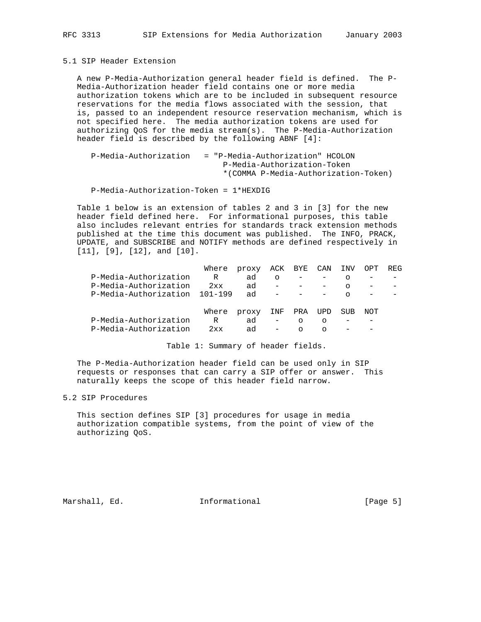5.1 SIP Header Extension

 A new P-Media-Authorization general header field is defined. The P- Media-Authorization header field contains one or more media authorization tokens which are to be included in subsequent resource reservations for the media flows associated with the session, that is, passed to an independent resource reservation mechanism, which is not specified here. The media authorization tokens are used for authorizing QoS for the media stream(s). The P-Media-Authorization header field is described by the following ABNF [4]:

```
 P-Media-Authorization = "P-Media-Authorization" HCOLON
                 P-Media-Authorization-Token
                 *(COMMA P-Media-Authorization-Token)
```
P-Media-Authorization-Token = 1\*HEXDIG

 Table 1 below is an extension of tables 2 and 3 in [3] for the new header field defined here. For informational purposes, this table also includes relevant entries for standards track extension methods published at the time this document was published. The INFO, PRACK, UPDATE, and SUBSCRIBE and NOTIFY methods are defined respectively in [11], [9], [12], and [10].

|                       | Where       | proxy ACK BYE |                   |         | CAN     | INV     | OPT | REG |
|-----------------------|-------------|---------------|-------------------|---------|---------|---------|-----|-----|
| P-Media-Authorization | R           | ad            | $\circ$           |         |         | O       |     |     |
| P-Media-Authorization | 2xx         | ad            |                   |         |         | $\circ$ |     |     |
| P-Media-Authorization | $101 - 199$ | ad            |                   |         |         | ∩       |     |     |
|                       | Where       | proxy         | INF               | PRA     | UPD     | SUB     | NOT |     |
| P-Media-Authorization | R           | ad            | $\qquad \qquad -$ | $\circ$ | $\circ$ |         |     |     |
| P-Media-Authorization | 2xx         | ad            | $\qquad \qquad -$ | ∩       | $\cap$  |         |     |     |
|                       |             |               |                   |         |         |         |     |     |

Table 1: Summary of header fields.

 The P-Media-Authorization header field can be used only in SIP requests or responses that can carry a SIP offer or answer. This naturally keeps the scope of this header field narrow.

5.2 SIP Procedures

 This section defines SIP [3] procedures for usage in media authorization compatible systems, from the point of view of the authorizing QoS.

Marshall, Ed. 10. Informational 1.1 [Page 5]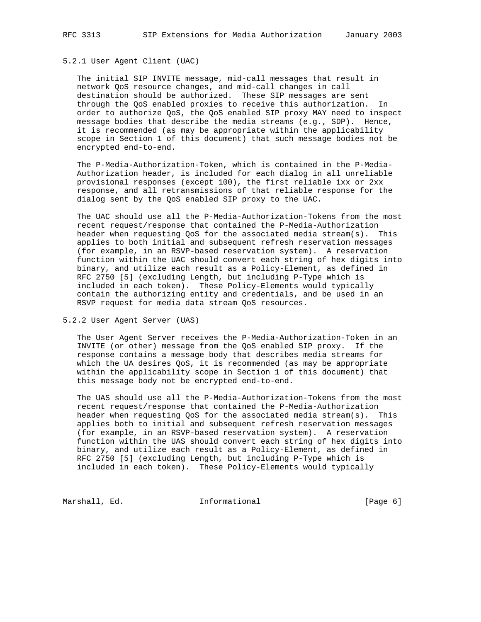# 5.2.1 User Agent Client (UAC)

 The initial SIP INVITE message, mid-call messages that result in network QoS resource changes, and mid-call changes in call destination should be authorized. These SIP messages are sent through the QoS enabled proxies to receive this authorization. In order to authorize QoS, the QoS enabled SIP proxy MAY need to inspect message bodies that describe the media streams (e.g., SDP). Hence, it is recommended (as may be appropriate within the applicability scope in Section 1 of this document) that such message bodies not be encrypted end-to-end.

 The P-Media-Authorization-Token, which is contained in the P-Media- Authorization header, is included for each dialog in all unreliable provisional responses (except 100), the first reliable 1xx or 2xx response, and all retransmissions of that reliable response for the dialog sent by the QoS enabled SIP proxy to the UAC.

 The UAC should use all the P-Media-Authorization-Tokens from the most recent request/response that contained the P-Media-Authorization header when requesting QoS for the associated media stream(s). This applies to both initial and subsequent refresh reservation messages (for example, in an RSVP-based reservation system). A reservation function within the UAC should convert each string of hex digits into binary, and utilize each result as a Policy-Element, as defined in RFC 2750 [5] (excluding Length, but including P-Type which is included in each token). These Policy-Elements would typically contain the authorizing entity and credentials, and be used in an RSVP request for media data stream QoS resources.

5.2.2 User Agent Server (UAS)

 The User Agent Server receives the P-Media-Authorization-Token in an INVITE (or other) message from the QoS enabled SIP proxy. If the response contains a message body that describes media streams for which the UA desires QoS, it is recommended (as may be appropriate within the applicability scope in Section 1 of this document) that this message body not be encrypted end-to-end.

 The UAS should use all the P-Media-Authorization-Tokens from the most recent request/response that contained the P-Media-Authorization header when requesting QoS for the associated media stream(s). This applies both to initial and subsequent refresh reservation messages (for example, in an RSVP-based reservation system). A reservation function within the UAS should convert each string of hex digits into binary, and utilize each result as a Policy-Element, as defined in RFC 2750 [5] (excluding Length, but including P-Type which is included in each token). These Policy-Elements would typically

Marshall, Ed. 10. Informational 1.1 [Page 6]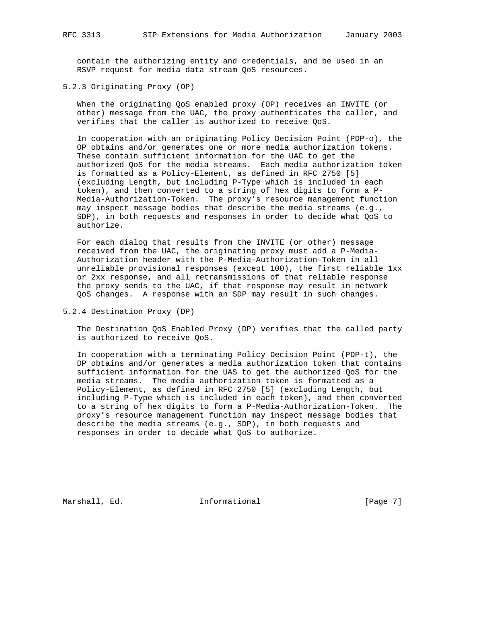contain the authorizing entity and credentials, and be used in an RSVP request for media data stream QoS resources.

5.2.3 Originating Proxy (OP)

 When the originating QoS enabled proxy (OP) receives an INVITE (or other) message from the UAC, the proxy authenticates the caller, and verifies that the caller is authorized to receive QoS.

 In cooperation with an originating Policy Decision Point (PDP-o), the OP obtains and/or generates one or more media authorization tokens. These contain sufficient information for the UAC to get the authorized QoS for the media streams. Each media authorization token is formatted as a Policy-Element, as defined in RFC 2750 [5] (excluding Length, but including P-Type which is included in each token), and then converted to a string of hex digits to form a P- Media-Authorization-Token. The proxy's resource management function may inspect message bodies that describe the media streams (e.g., SDP), in both requests and responses in order to decide what QoS to authorize.

 For each dialog that results from the INVITE (or other) message received from the UAC, the originating proxy must add a P-Media- Authorization header with the P-Media-Authorization-Token in all unreliable provisional responses (except 100), the first reliable 1xx or 2xx response, and all retransmissions of that reliable response the proxy sends to the UAC, if that response may result in network QoS changes. A response with an SDP may result in such changes.

5.2.4 Destination Proxy (DP)

 The Destination QoS Enabled Proxy (DP) verifies that the called party is authorized to receive QoS.

 In cooperation with a terminating Policy Decision Point (PDP-t), the DP obtains and/or generates a media authorization token that contains sufficient information for the UAS to get the authorized QoS for the media streams. The media authorization token is formatted as a Policy-Element, as defined in RFC 2750 [5] (excluding Length, but including P-Type which is included in each token), and then converted to a string of hex digits to form a P-Media-Authorization-Token. The proxy's resource management function may inspect message bodies that describe the media streams (e.g., SDP), in both requests and responses in order to decide what QoS to authorize.

Marshall, Ed. 10. Informational 1.1 [Page 7]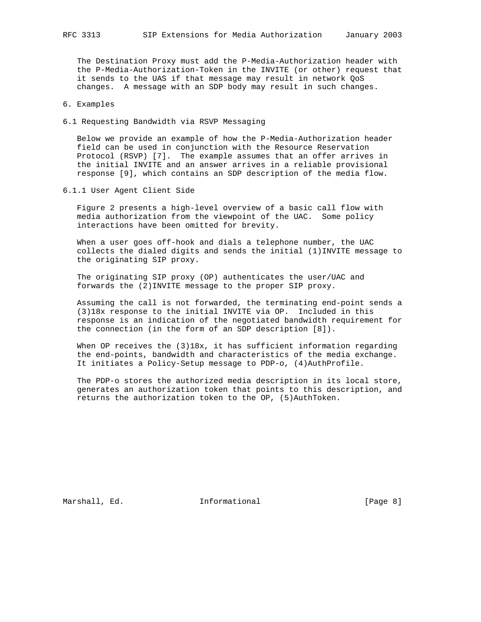The Destination Proxy must add the P-Media-Authorization header with the P-Media-Authorization-Token in the INVITE (or other) request that it sends to the UAS if that message may result in network QoS changes. A message with an SDP body may result in such changes.

- 6. Examples
- 6.1 Requesting Bandwidth via RSVP Messaging

 Below we provide an example of how the P-Media-Authorization header field can be used in conjunction with the Resource Reservation Protocol (RSVP) [7]. The example assumes that an offer arrives in the initial INVITE and an answer arrives in a reliable provisional response [9], which contains an SDP description of the media flow.

6.1.1 User Agent Client Side

 Figure 2 presents a high-level overview of a basic call flow with media authorization from the viewpoint of the UAC. Some policy interactions have been omitted for brevity.

When a user goes off-hook and dials a telephone number, the UAC collects the dialed digits and sends the initial (1)INVITE message to the originating SIP proxy.

 The originating SIP proxy (OP) authenticates the user/UAC and forwards the (2)INVITE message to the proper SIP proxy.

 Assuming the call is not forwarded, the terminating end-point sends a (3)18x response to the initial INVITE via OP. Included in this response is an indication of the negotiated bandwidth requirement for the connection (in the form of an SDP description [8]).

When OP receives the (3)18x, it has sufficient information regarding the end-points, bandwidth and characteristics of the media exchange. It initiates a Policy-Setup message to PDP-o, (4)AuthProfile.

 The PDP-o stores the authorized media description in its local store, generates an authorization token that points to this description, and returns the authorization token to the OP, (5)AuthToken.

Marshall, Ed. 10. Informational 1.1 [Page 8]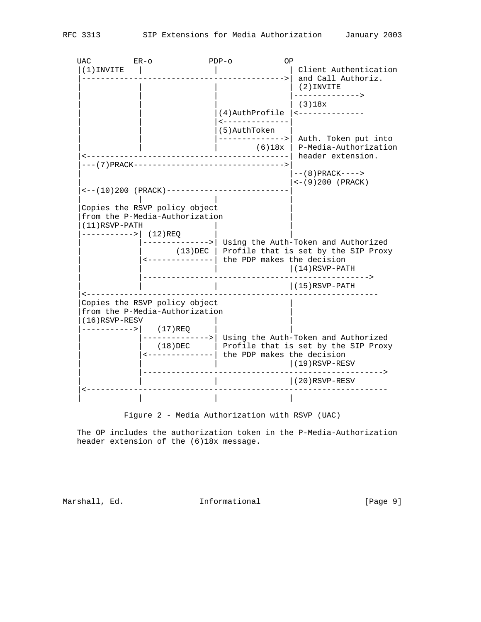| <b>UAC</b>                                | $ER-O$                                                                                             | OP<br>$PDF-0$                               |                                                                                                                                                 |
|-------------------------------------------|----------------------------------------------------------------------------------------------------|---------------------------------------------|-------------------------------------------------------------------------------------------------------------------------------------------------|
| $(1)$ INVITE                              |                                                                                                    |                                             | Client Authentication<br>and Call Authoriz.<br>$(2)$ INVITE                                                                                     |
|                                           |                                                                                                    | (4) AuthProfile<br><--------------          | -------------><br>(3)18x<br><--------------                                                                                                     |
|                                           |                                                                                                    | (5) AuthToken<br>(6)18x                     | -------------->  Auth. Token put into<br>P-Media-Authorization                                                                                  |
|                                           | $\leftarrow - (10) 200$ (PRACK) ------------------------                                           |                                             | header extension.<br>$--(8) PRACTK---$<br>$\leftarrow$ (9)200 (PRACK)                                                                           |
| $(11)$ RSVP-PATH<br>----------->  (12)REQ | Copies the RSVP policy object<br>from the P-Media-Authorization                                    | <-------------  the PDP makes the decision  | --------->  Using the Auth-Token and Authorized<br>$(13)$ DEC   Profile that is set by the SIP Proxy<br>$(14)$ RSVP-PATH                        |
|                                           |                                                                                                    |                                             | $--->$<br>$(15)$ RSVP-PATH                                                                                                                      |
| $(16)$ RSVP-RESV<br>----------->  (17)REQ | . _ _ _ _ _ _ _ _ _ _ _ _ _ _ _<br>Copies the RSVP policy object<br>from the P-Media-Authorization | <--------------  the PDP makes the decision | ---------->  Using the Auth-Token and Authorized<br>$(18)$ DEC $ $ Profile that is set by the SIP Proxy<br>$(19)$ RSVP-RESV<br>$(20)$ RSVP-RESV |
|                                           |                                                                                                    |                                             |                                                                                                                                                 |
|                                           |                                                                                                    |                                             |                                                                                                                                                 |

Figure 2 - Media Authorization with RSVP (UAC)

 The OP includes the authorization token in the P-Media-Authorization header extension of the (6)18x message.

Marshall, Ed. 1nformational 1999 [Page 9]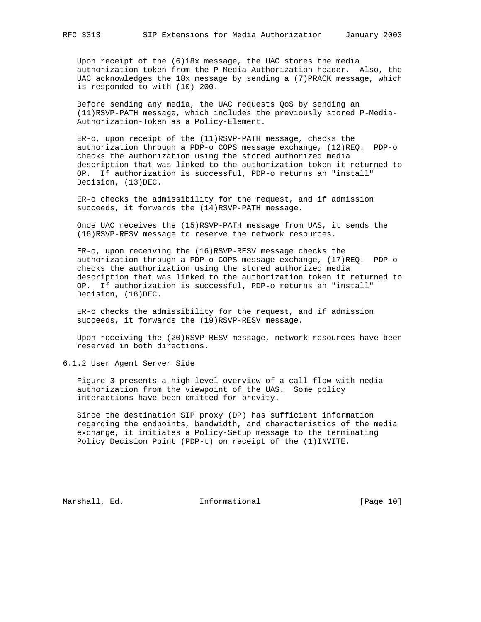Upon receipt of the (6)18x message, the UAC stores the media authorization token from the P-Media-Authorization header. Also, the UAC acknowledges the 18x message by sending a (7)PRACK message, which is responded to with (10) 200.

 Before sending any media, the UAC requests QoS by sending an (11)RSVP-PATH message, which includes the previously stored P-Media- Authorization-Token as a Policy-Element.

 ER-o, upon receipt of the (11)RSVP-PATH message, checks the authorization through a PDP-o COPS message exchange, (12)REQ. PDP-o checks the authorization using the stored authorized media description that was linked to the authorization token it returned to OP. If authorization is successful, PDP-o returns an "install" Decision, (13)DEC.

 ER-o checks the admissibility for the request, and if admission succeeds, it forwards the (14)RSVP-PATH message.

 Once UAC receives the (15)RSVP-PATH message from UAS, it sends the (16)RSVP-RESV message to reserve the network resources.

 ER-o, upon receiving the (16)RSVP-RESV message checks the authorization through a PDP-o COPS message exchange, (17)REQ. PDP-o checks the authorization using the stored authorized media description that was linked to the authorization token it returned to OP. If authorization is successful, PDP-o returns an "install" Decision, (18)DEC.

 ER-o checks the admissibility for the request, and if admission succeeds, it forwards the (19)RSVP-RESV message.

 Upon receiving the (20)RSVP-RESV message, network resources have been reserved in both directions.

6.1.2 User Agent Server Side

 Figure 3 presents a high-level overview of a call flow with media authorization from the viewpoint of the UAS. Some policy interactions have been omitted for brevity.

 Since the destination SIP proxy (DP) has sufficient information regarding the endpoints, bandwidth, and characteristics of the media exchange, it initiates a Policy-Setup message to the terminating Policy Decision Point (PDP-t) on receipt of the (1)INVITE.

Marshall, Ed. 10. Informational 1.1 [Page 10]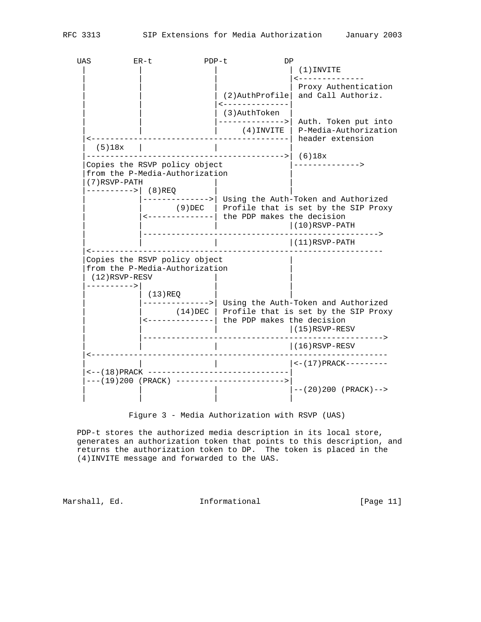UAS ER-t PDP-t DP  $|$  (1)INVITE | <--------------| Proxy Authentication  $(2)$ AuthProfile and Call Authoriz. | | |<--------------|  $|$  (3)AuthToken  $|$  $|$ -------------->| Auth. Token put into | | | (4)INVITE | P-Media-Authorization |<------------------------------------------| header extension  $(5)18x$  | |------------------------------------------>| (6)18x |Copies the RSVP policy object |--------------> from the P-Media-Authorization |(7)RSVP-PATH | | ---------->| (8)REQ | |-------------->| Using the Auth-Token and Authorized | | (9)DEC | Profile that is set by the SIP Proxy | |<--------------| the PDP makes the decision | | | |(10)RSVP-PATH | |--------------------------------------------------> | | | |(11)RSVP-PATH |<-------------------------------------------------------------- Copies the RSVP policy object from the P-Media-Authorization (12)RSVP-RESV |---------->| | | | | (13)REQ | | | |-------------->| Using the Auth-Token and Authorized | | (14)DEC | Profile that is set by the SIP Proxy | |<--------------| the PDP makes the decision | (15)RSVP-RESV | |---------------------------------------------------> | (16)RSVP-RESV |<--------------------------------------------------------------- | | | |<-(17)PRACK--------- |<--(18)PRACK ------------------------------| |---(19)200 (PRACK) ----------------------->|  $| -- (20)200$  (PRACK) --> | | | |

Figure 3 - Media Authorization with RSVP (UAS)

 PDP-t stores the authorized media description in its local store, generates an authorization token that points to this description, and returns the authorization token to DP. The token is placed in the (4)INVITE message and forwarded to the UAS.

Marshall, Ed. **Informational Ed.** [Page 11]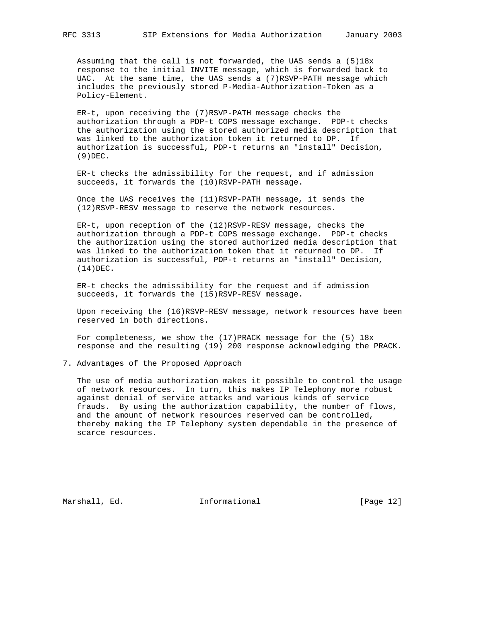Assuming that the call is not forwarded, the UAS sends a  $(5)18x$  response to the initial INVITE message, which is forwarded back to UAC. At the same time, the UAS sends a (7)RSVP-PATH message which includes the previously stored P-Media-Authorization-Token as a Policy-Element.

 ER-t, upon receiving the (7)RSVP-PATH message checks the authorization through a PDP-t COPS message exchange. PDP-t checks the authorization using the stored authorized media description that was linked to the authorization token it returned to DP. If authorization is successful, PDP-t returns an "install" Decision, (9)DEC.

 ER-t checks the admissibility for the request, and if admission succeeds, it forwards the (10)RSVP-PATH message.

 Once the UAS receives the (11)RSVP-PATH message, it sends the (12)RSVP-RESV message to reserve the network resources.

 ER-t, upon reception of the (12)RSVP-RESV message, checks the authorization through a PDP-t COPS message exchange. PDP-t checks the authorization using the stored authorized media description that was linked to the authorization token that it returned to DP. If authorization is successful, PDP-t returns an "install" Decision, (14)DEC.

 ER-t checks the admissibility for the request and if admission succeeds, it forwards the (15)RSVP-RESV message.

 Upon receiving the (16)RSVP-RESV message, network resources have been reserved in both directions.

For completeness, we show the  $(17)$  PRACK message for the  $(5)$  18x response and the resulting (19) 200 response acknowledging the PRACK.

7. Advantages of the Proposed Approach

 The use of media authorization makes it possible to control the usage of network resources. In turn, this makes IP Telephony more robust against denial of service attacks and various kinds of service frauds. By using the authorization capability, the number of flows, and the amount of network resources reserved can be controlled, thereby making the IP Telephony system dependable in the presence of scarce resources.

Marshall, Ed. 1999 and Informational 1999 [Page 12]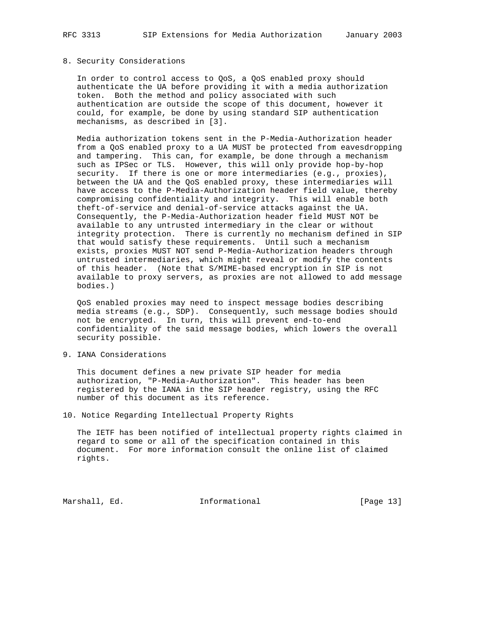### 8. Security Considerations

 In order to control access to QoS, a QoS enabled proxy should authenticate the UA before providing it with a media authorization token. Both the method and policy associated with such authentication are outside the scope of this document, however it could, for example, be done by using standard SIP authentication mechanisms, as described in [3].

 Media authorization tokens sent in the P-Media-Authorization header from a QoS enabled proxy to a UA MUST be protected from eavesdropping and tampering. This can, for example, be done through a mechanism such as IPSec or TLS. However, this will only provide hop-by-hop security. If there is one or more intermediaries (e.g., proxies), between the UA and the QoS enabled proxy, these intermediaries will have access to the P-Media-Authorization header field value, thereby compromising confidentiality and integrity. This will enable both theft-of-service and denial-of-service attacks against the UA. Consequently, the P-Media-Authorization header field MUST NOT be available to any untrusted intermediary in the clear or without integrity protection. There is currently no mechanism defined in SIP that would satisfy these requirements. Until such a mechanism exists, proxies MUST NOT send P-Media-Authorization headers through untrusted intermediaries, which might reveal or modify the contents of this header. (Note that S/MIME-based encryption in SIP is not available to proxy servers, as proxies are not allowed to add message bodies.)

 QoS enabled proxies may need to inspect message bodies describing media streams (e.g., SDP). Consequently, such message bodies should not be encrypted. In turn, this will prevent end-to-end confidentiality of the said message bodies, which lowers the overall security possible.

9. IANA Considerations

 This document defines a new private SIP header for media authorization, "P-Media-Authorization". This header has been registered by the IANA in the SIP header registry, using the RFC number of this document as its reference.

10. Notice Regarding Intellectual Property Rights

 The IETF has been notified of intellectual property rights claimed in regard to some or all of the specification contained in this document. For more information consult the online list of claimed rights.

Marshall, Ed. 1999 and Informational 1999 [Page 13]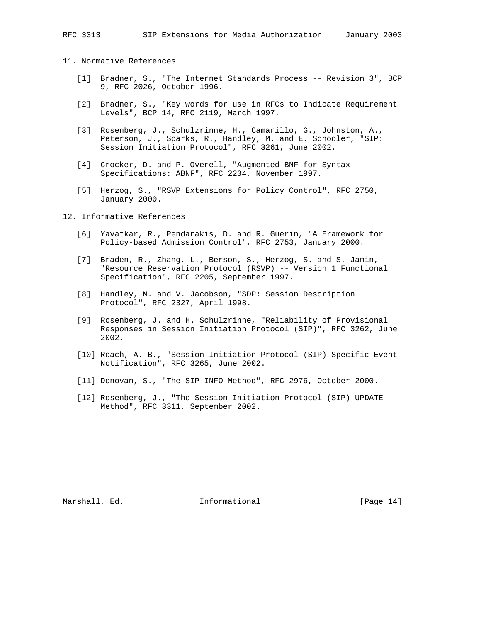# 11. Normative References

- [1] Bradner, S., "The Internet Standards Process -- Revision 3", BCP 9, RFC 2026, October 1996.
- [2] Bradner, S., "Key words for use in RFCs to Indicate Requirement Levels", BCP 14, RFC 2119, March 1997.
- [3] Rosenberg, J., Schulzrinne, H., Camarillo, G., Johnston, A., Peterson, J., Sparks, R., Handley, M. and E. Schooler, "SIP: Session Initiation Protocol", RFC 3261, June 2002.
- [4] Crocker, D. and P. Overell, "Augmented BNF for Syntax Specifications: ABNF", RFC 2234, November 1997.
- [5] Herzog, S., "RSVP Extensions for Policy Control", RFC 2750, January 2000.

## 12. Informative References

- [6] Yavatkar, R., Pendarakis, D. and R. Guerin, "A Framework for Policy-based Admission Control", RFC 2753, January 2000.
- [7] Braden, R., Zhang, L., Berson, S., Herzog, S. and S. Jamin, "Resource Reservation Protocol (RSVP) -- Version 1 Functional Specification", RFC 2205, September 1997.
- [8] Handley, M. and V. Jacobson, "SDP: Session Description Protocol", RFC 2327, April 1998.
- [9] Rosenberg, J. and H. Schulzrinne, "Reliability of Provisional Responses in Session Initiation Protocol (SIP)", RFC 3262, June 2002.
- [10] Roach, A. B., "Session Initiation Protocol (SIP)-Specific Event Notification", RFC 3265, June 2002.
- [11] Donovan, S., "The SIP INFO Method", RFC 2976, October 2000.
- [12] Rosenberg, J., "The Session Initiation Protocol (SIP) UPDATE Method", RFC 3311, September 2002.

Marshall, Ed. 1998 and Informational 1999 [Page 14]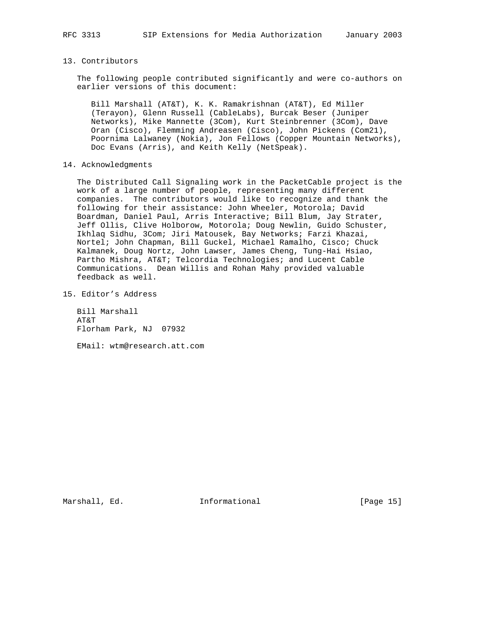## 13. Contributors

 The following people contributed significantly and were co-authors on earlier versions of this document:

 Bill Marshall (AT&T), K. K. Ramakrishnan (AT&T), Ed Miller (Terayon), Glenn Russell (CableLabs), Burcak Beser (Juniper Networks), Mike Mannette (3Com), Kurt Steinbrenner (3Com), Dave Oran (Cisco), Flemming Andreasen (Cisco), John Pickens (Com21), Poornima Lalwaney (Nokia), Jon Fellows (Copper Mountain Networks), Doc Evans (Arris), and Keith Kelly (NetSpeak).

### 14. Acknowledgments

 The Distributed Call Signaling work in the PacketCable project is the work of a large number of people, representing many different companies. The contributors would like to recognize and thank the following for their assistance: John Wheeler, Motorola; David Boardman, Daniel Paul, Arris Interactive; Bill Blum, Jay Strater, Jeff Ollis, Clive Holborow, Motorola; Doug Newlin, Guido Schuster, Ikhlaq Sidhu, 3Com; Jiri Matousek, Bay Networks; Farzi Khazai, Nortel; John Chapman, Bill Guckel, Michael Ramalho, Cisco; Chuck Kalmanek, Doug Nortz, John Lawser, James Cheng, Tung-Hai Hsiao, Partho Mishra, AT&T; Telcordia Technologies; and Lucent Cable Communications. Dean Willis and Rohan Mahy provided valuable feedback as well.

15. Editor's Address

 Bill Marshall AT&T Florham Park, NJ 07932

EMail: wtm@research.att.com

Marshall, Ed. 1999 and Marshall 11 and Marshall [Page 15]